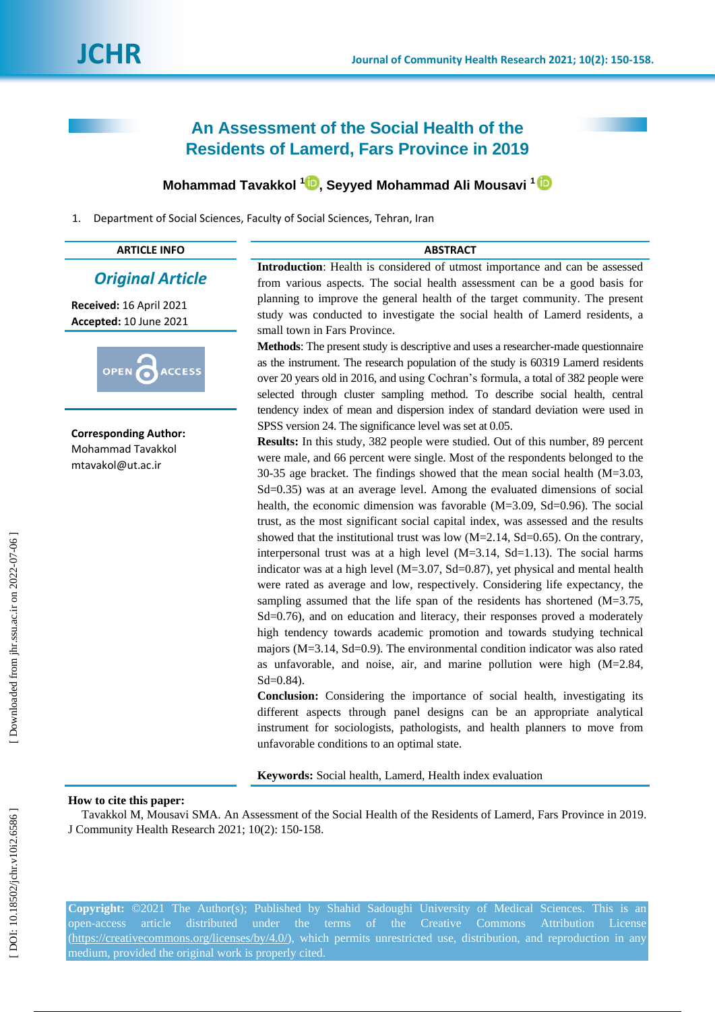# **An Assessment of the Social Health of the Residents of Lamerd, Fars Province in 2019**

## **Mohammad Tavakkol 1 [,](https://orcid.org/0000-0001-7300-2814) Seyyed Mohammad Ali Mousavi 1**

1 . Department of Social Sciences, Faculty of Social Sciences, Tehran, Iran

| <b>ARTICLE INFO</b>                                                    | <b>ABSTRACT</b>                                                                                                                                                                                                                                                                                                                                                                                                                                                                                                                                                                                                                                                                                                                                                                                                                                                                                                                                                                                                                                                                                                                                                                                                                                                                                                                                        |  |  |  |  |
|------------------------------------------------------------------------|--------------------------------------------------------------------------------------------------------------------------------------------------------------------------------------------------------------------------------------------------------------------------------------------------------------------------------------------------------------------------------------------------------------------------------------------------------------------------------------------------------------------------------------------------------------------------------------------------------------------------------------------------------------------------------------------------------------------------------------------------------------------------------------------------------------------------------------------------------------------------------------------------------------------------------------------------------------------------------------------------------------------------------------------------------------------------------------------------------------------------------------------------------------------------------------------------------------------------------------------------------------------------------------------------------------------------------------------------------|--|--|--|--|
| <b>Original Article</b>                                                | Introduction: Health is considered of utmost importance and can be assessed<br>from various aspects. The social health assessment can be a good basis for                                                                                                                                                                                                                                                                                                                                                                                                                                                                                                                                                                                                                                                                                                                                                                                                                                                                                                                                                                                                                                                                                                                                                                                              |  |  |  |  |
| Received: 16 April 2021<br>Accepted: 10 June 2021                      | planning to improve the general health of the target community. The present<br>study was conducted to investigate the social health of Lamerd residents, a<br>small town in Fars Province.                                                                                                                                                                                                                                                                                                                                                                                                                                                                                                                                                                                                                                                                                                                                                                                                                                                                                                                                                                                                                                                                                                                                                             |  |  |  |  |
| <b>OPEN</b><br><b>ACCESS</b>                                           | Methods: The present study is descriptive and uses a researcher-made questionnaire<br>as the instrument. The research population of the study is 60319 Lamerd residents<br>over 20 years old in 2016, and using Cochran's formula, a total of 382 people were<br>selected through cluster sampling method. To describe social health, central                                                                                                                                                                                                                                                                                                                                                                                                                                                                                                                                                                                                                                                                                                                                                                                                                                                                                                                                                                                                          |  |  |  |  |
| <b>Corresponding Author:</b><br>Mohammad Tavakkol<br>mtavakol@ut.ac.ir | tendency index of mean and dispersion index of standard deviation were used in<br>SPSS version 24. The significance level was set at 0.05.<br><b>Results:</b> In this study, 382 people were studied. Out of this number, 89 percent<br>were male, and 66 percent were single. Most of the respondents belonged to the<br>30-35 age bracket. The findings showed that the mean social health $(M=3.03,$<br>Sd=0.35) was at an average level. Among the evaluated dimensions of social<br>health, the economic dimension was favorable $(M=3.09, Sd=0.96)$ . The social<br>trust, as the most significant social capital index, was assessed and the results<br>showed that the institutional trust was low ( $M=2.14$ , $Sd=0.65$ ). On the contrary,<br>interpersonal trust was at a high level $(M=3.14, Sd=1.13)$ . The social harms<br>indicator was at a high level ( $M=3.07$ , $Sd=0.87$ ), yet physical and mental health<br>were rated as average and low, respectively. Considering life expectancy, the<br>sampling assumed that the life span of the residents has shortened $(M=3.75,$<br>Sd=0.76), and on education and literacy, their responses proved a moderately<br>high tendency towards academic promotion and towards studying technical<br>majors ( $M=3.14$ , $Sd=0.9$ ). The environmental condition indicator was also rated |  |  |  |  |

**Conclusion:** Considering the importance of social health, investigating its different aspects through panel designs can be an appropriate analytical instrument for sociologists, pathologists, and health planners to move from unfavorable conditions to an optimal state.

as unfavorable, and noise, air, and marine pollution were high (M=2 .84,

**Keywords:** Social health, Lamerd, Health index evaluation

#### **How to cite this paper:**

Tavakkol M, Mousavi SMA. An Assessment of the Social Health of the Residents of Lamerd, Fars Province in 2019. J Community Health Research 2021; 10(2): 150 -158 .

Sd=0.84 ).

**Copyright:** ©2021 The Author(s); Published by Shahid Sadoughi University of Medical Sciences. This is an open -access article distributed under the terms of the Creative Commons Attribution License (https://creativecommons.org/licenses/by/4.0/), which permits unrestricted use, distribution, and reproduction in any medium, provided the original work is properly cited.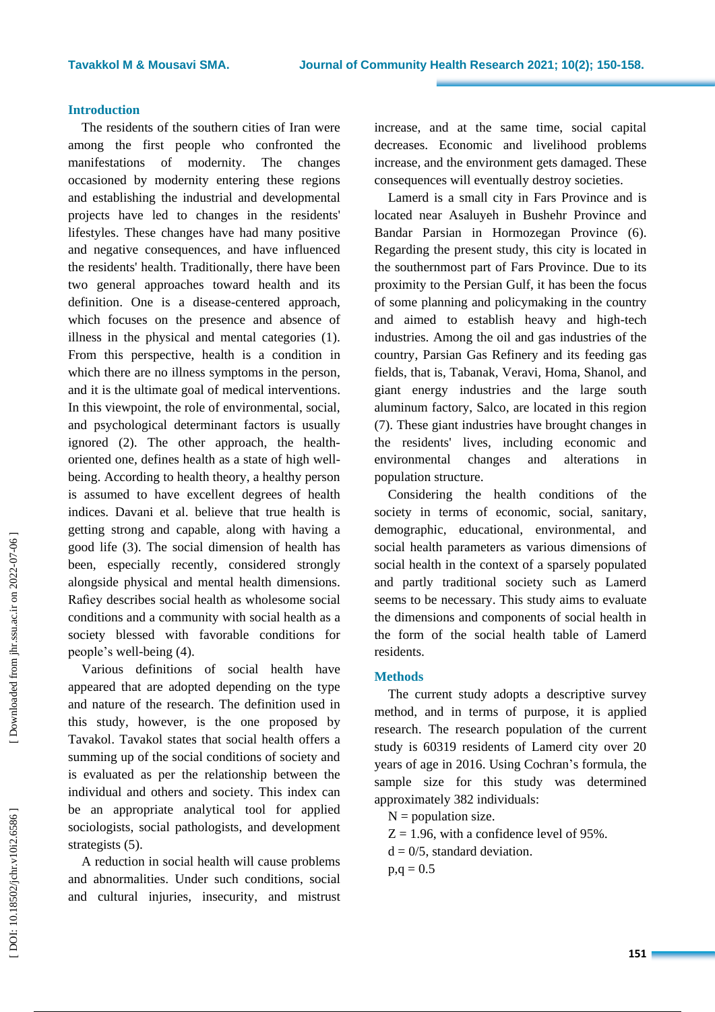## **Introduction**

The residents of the southern cities of Iran were among the first people who confronted the manifestations rnity . The changes occasioned by modernity entering these regions and establishing the industrial and developmental projects have led to changes in the residents' lifestyles . These changes have had many positive and negative consequences, and have influenced the residents' health. Traditionally, there have been two general approaches toward health and its definition . One is a disease -centered approach, which focuses on the presence and absence of illness in the physical and mental categories ( 1). From this perspective, health is a condition in which there are no illness symptoms in the person , and it is the ultimate goal of medical intervention s . In this viewpoint, the role of environmental, social, and psychological determinant factors is usually ignored ( 2). The other approach, the health oriented one, define s health as a state of high well being . According to health theory, a healthy person is assumed to have excellent degrees of health indices . Davani et al. believe that true health is getting strong and capable, along with having a good life ( 3). The social dimension of health has been, especially recently, considered strongly alongside physical and mental health dimensions. Rafiey describes social health as wholesome social conditions and a community with social health as a society blessed with favorable conditions for people"s well -being ( 4).

Various definitions of social health have appeared that are adopted depending on the type and nature of the research. The definition used in this study, however, is the one proposed by Tavakol. Tavakol states that social health offers a summing up of the social conditions of society and is evaluated as per the relationship between the individual and others and society. This index can be a n appropriate analytical tool for applied sociologists, social pathologists, and development strategists (5).

A reduction in social health will cause problems and abnormalities. Under such conditions, social and cultural injuries, insecurity, and mistrust increase, and at the same time, social capital decreases . Economic and livelihood problems increase, and the environment gets damaged. These consequences will eventually destroy societies.

Lamerd is a small city in Fars Province and is located near Asaluyeh in Bushehr Province and Bandar Parsian in Hormoz egan Province (6) . Regarding the present study, this city is located in the southernmost part of Fars Province. Due to its proximity to the Persian Gulf, it has been the focus of some planning and policymaking in the country and aimed to establish heavy and high -tech industries. Among the oil and gas industries of the country, Parsian Gas Refinery and its feeding gas fields, that is, Tabanak, Veravi, Homa, Shanol, and giant energy industries and the large south aluminum factory, Salco, are located in this region (7) . These giant industries have brought changes in the residents' lives, including economic and environmental changes and alterations in population structure.

Considering the health conditions of the society in terms of economic, social, sanitary , demographic, educational, environmental, and social health parameters as various dimensions of social health in the context of a sparsely populated and partly traditional society such as Lamerd seems to be necessary . This study aim s to evaluate the dimensions and components of social health in the form of the social health table of Lamerd residents .

## **Method s**

The current study adopts a descriptive survey method , and in terms of purpose, it is applied research . The research population of the current study is 60319 residents of Lamerd city over 20 years of age in 2016 . Using Cochran "s formula, the sample size for this study was determined approximately 382 individuals:

 $N =$  population size.

 $Z = 1.96$ , with a confidence level of 95%.

 $d = 0/5$ , standard deviation.

 $p,q = 0.5$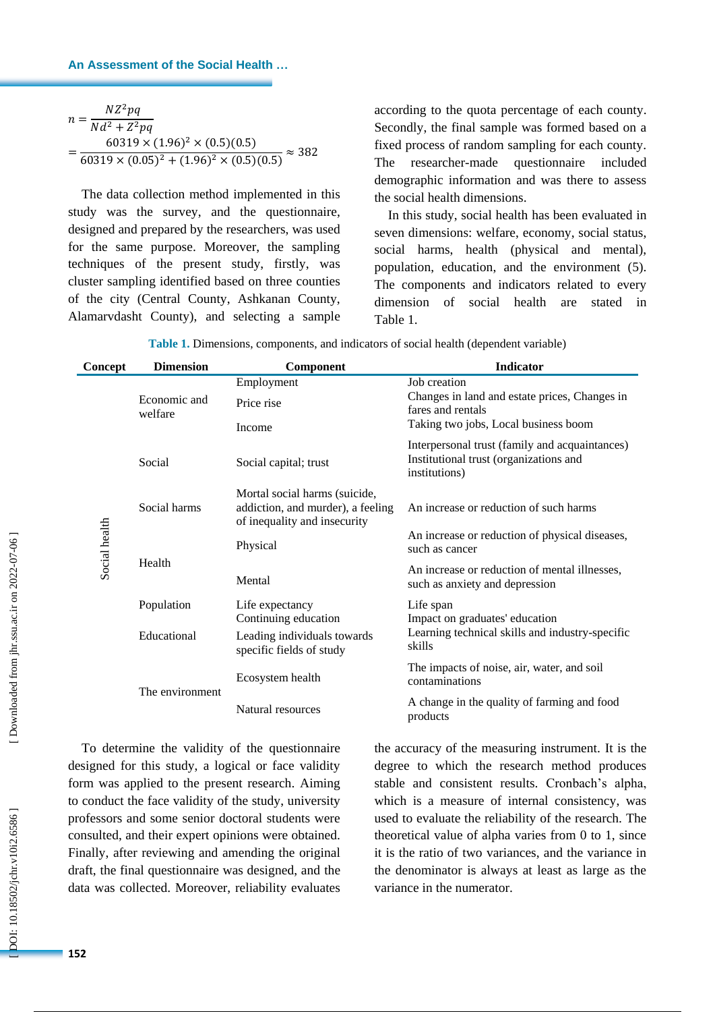#### **An Assessment of the Social Health …**

| $NZ^2pq$                                             |               |
|------------------------------------------------------|---------------|
| n:<br>$Nd^2 + Z^2pq$                                 |               |
| $60319 \times (1.96)^2 \times (0.5)(0.5)$            | $\approx$ 382 |
| $60319 \times (0.05)^2 + (1.96)^2 \times (0.5)(0.5)$ |               |

according to the quota percentage of each county . Secondly, the final sample was formed based on a fixed process of random sampling for each county. The researcher-made questionnaire included demographic information and was there to assess the social health dimensions.

| Table 1. Dimensions, components, and indicators of social health (dependent variable) |  |  |
|---------------------------------------------------------------------------------------|--|--|
|---------------------------------------------------------------------------------------|--|--|

| $n = \frac{1}{Nd^2 + Z^2pq}$ |                                                                                                                   |                                                                                                    |                                                                                                                                                    |                                                                                                           |  |  |  |
|------------------------------|-------------------------------------------------------------------------------------------------------------------|----------------------------------------------------------------------------------------------------|----------------------------------------------------------------------------------------------------------------------------------------------------|-----------------------------------------------------------------------------------------------------------|--|--|--|
|                              |                                                                                                                   |                                                                                                    | Secondly, the final sample was formed based on<br>fixed process of random sampling for each county<br>The researcher-made questionnaire<br>include |                                                                                                           |  |  |  |
|                              | $=\frac{60319 \times (1.96)^2 \times (0.5)(0.5)}{60319 \times (0.05)^2 + (1.96)^2 \times (0.5)(0.5)} \approx 382$ |                                                                                                    |                                                                                                                                                    |                                                                                                           |  |  |  |
|                              |                                                                                                                   |                                                                                                    |                                                                                                                                                    | demographic information and was there to asses                                                            |  |  |  |
|                              |                                                                                                                   | The data collection method implemented in this                                                     |                                                                                                                                                    | the social health dimensions.                                                                             |  |  |  |
|                              |                                                                                                                   | study was the survey, and the questionnaire,                                                       |                                                                                                                                                    | In this study, social health has been evaluated i                                                         |  |  |  |
|                              |                                                                                                                   | designed and prepared by the researchers, was used                                                 |                                                                                                                                                    | seven dimensions: welfare, economy, social statu                                                          |  |  |  |
|                              |                                                                                                                   | for the same purpose. Moreover, the sampling                                                       |                                                                                                                                                    | social harms, health (physical and mental                                                                 |  |  |  |
|                              |                                                                                                                   | techniques of the present study, firstly, was                                                      |                                                                                                                                                    | population, education, and the environment (5                                                             |  |  |  |
|                              |                                                                                                                   | cluster sampling identified based on three counties                                                |                                                                                                                                                    | The components and indicators related to ever                                                             |  |  |  |
|                              |                                                                                                                   | of the city (Central County, Ashkanan County,                                                      |                                                                                                                                                    | dimension<br>of social health<br>are<br>stated :                                                          |  |  |  |
|                              |                                                                                                                   | Alamarvdasht County), and selecting a sample                                                       | Table 1.                                                                                                                                           |                                                                                                           |  |  |  |
|                              |                                                                                                                   |                                                                                                    |                                                                                                                                                    | Table 1. Dimensions, components, and indicators of social health (dependent variable)                     |  |  |  |
| Concept                      | <b>Dimension</b>                                                                                                  | Component                                                                                          |                                                                                                                                                    | <b>Indicator</b>                                                                                          |  |  |  |
|                              |                                                                                                                   | Employment                                                                                         |                                                                                                                                                    | Job creation                                                                                              |  |  |  |
|                              | Economic and                                                                                                      | Price rise                                                                                         |                                                                                                                                                    | Changes in land and estate prices, Changes in<br>fares and rentals                                        |  |  |  |
|                              | welfare                                                                                                           | Income                                                                                             |                                                                                                                                                    | Taking two jobs, Local business boom                                                                      |  |  |  |
|                              | Social                                                                                                            | Social capital; trust                                                                              |                                                                                                                                                    | Interpersonal trust (family and acquaintances)<br>Institutional trust (organizations and<br>institutions) |  |  |  |
|                              | Social harms                                                                                                      | Mortal social harms (suicide,<br>addiction, and murder), a feeling<br>of inequality and insecurity |                                                                                                                                                    | An increase or reduction of such harms                                                                    |  |  |  |
| Social health                |                                                                                                                   | Physical                                                                                           |                                                                                                                                                    | An increase or reduction of physical diseases,<br>such as cancer                                          |  |  |  |
|                              | Health                                                                                                            |                                                                                                    |                                                                                                                                                    | An increase or reduction of mental illnesses,                                                             |  |  |  |
|                              |                                                                                                                   | Mental                                                                                             |                                                                                                                                                    | such as anxiety and depression                                                                            |  |  |  |
|                              | Population                                                                                                        | Life expectancy<br>Continuing education                                                            |                                                                                                                                                    | Life span<br>Impact on graduates' education                                                               |  |  |  |
|                              | Educational                                                                                                       | Leading individuals towards<br>specific fields of study                                            |                                                                                                                                                    | Learning technical skills and industry-specific<br>skills                                                 |  |  |  |
|                              |                                                                                                                   | Ecosystem health                                                                                   |                                                                                                                                                    | The impacts of noise, air, water, and soil<br>contaminations                                              |  |  |  |
|                              | The environment                                                                                                   | Natural resources                                                                                  |                                                                                                                                                    | A change in the quality of farming and food<br>products                                                   |  |  |  |
|                              |                                                                                                                   | To determine the validity of the questionnaire                                                     |                                                                                                                                                    | the accuracy of the measuring instrument. It is the                                                       |  |  |  |
|                              |                                                                                                                   | designed for this study, a logical or face validity                                                |                                                                                                                                                    | degree to which the research method produce                                                               |  |  |  |
|                              |                                                                                                                   | form was applied to the present research. Aiming                                                   |                                                                                                                                                    | stable and consistent results. Cronbach's alpha                                                           |  |  |  |
|                              |                                                                                                                   | to conduct the face validity of the study, university                                              |                                                                                                                                                    | which is a measure of internal consistency, was                                                           |  |  |  |
|                              |                                                                                                                   | professors and some senior doctoral students were                                                  |                                                                                                                                                    | used to evaluate the reliability of the research. Th                                                      |  |  |  |
|                              |                                                                                                                   | consulted, and their expert opinions were obtained.                                                |                                                                                                                                                    | theoretical value of alpha varies from 0 to 1, sinc                                                       |  |  |  |
|                              |                                                                                                                   | Finally, after reviewing and amending the original                                                 |                                                                                                                                                    | it is the ratio of two variances, and the variance i                                                      |  |  |  |
|                              |                                                                                                                   | draft, the final questionnaire was designed, and the                                               |                                                                                                                                                    | the denominator is always at least as large as the                                                        |  |  |  |
|                              |                                                                                                                   | data was collected. Moreover, reliability evaluates                                                |                                                                                                                                                    | variance in the numerator.                                                                                |  |  |  |
|                              |                                                                                                                   |                                                                                                    |                                                                                                                                                    |                                                                                                           |  |  |  |
|                              |                                                                                                                   |                                                                                                    |                                                                                                                                                    |                                                                                                           |  |  |  |
| 152                          |                                                                                                                   |                                                                                                    |                                                                                                                                                    |                                                                                                           |  |  |  |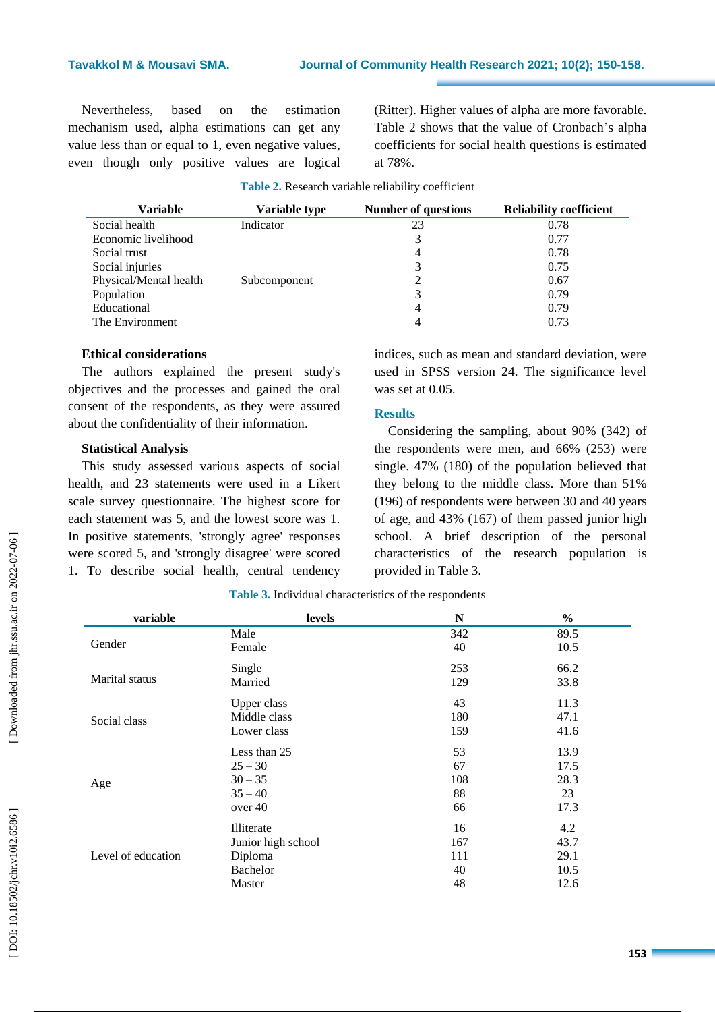## **Tavakkol M & Mousavi SMA**

Nevertheless, based on the estimation mechanism used, alpha estimations can get any value less than or equal to 1, even negative values, even though only positive values are logical

(Ritter) . Higher values of alpha are more favorable . Table 2 shows that the value of Cronbach's alpha coefficients for social health questions is estimated at 78%.

|  |  |  |  | Table 2. Research variable reliability coefficient |
|--|--|--|--|----------------------------------------------------|
|--|--|--|--|----------------------------------------------------|

| Variable               | Variable type | <b>Number of questions</b> | <b>Reliability coefficient</b> |
|------------------------|---------------|----------------------------|--------------------------------|
| Social health          | Indicator     | 23                         | 0.78                           |
| Economic livelihood    |               | 3                          | 0.77                           |
| Social trust           |               | 4                          | 0.78                           |
| Social injuries        |               | 3                          | 0.75                           |
| Physical/Mental health | Subcomponent  |                            | 0.67                           |
| Population             |               | 3                          | 0.79                           |
| Educational            |               | 4                          | 0.79                           |
| The Environment        |               | 4                          | 0.73                           |

#### **Ethical considerations**

The authors explained the present study's objectives and the processes and gained the oral consent of the respondents, as they were assured about the confidentiality of their information.

## **Statistical Analysis**

This study assessed various aspects of social health, and 23 statements were used in a Likert scale survey questionnaire. The highest score for each statement was 5, and the lowest score was 1. In positive statements, 'strongly agree' responses were scored 5, and 'strongly disagree' were scored 1. To describe social health, central tendency indices, such as mean and standard deviation, were used in SPSS version 24. The significance level was set at 0.05.

#### **Results**

Considering the sampling, about 90% (342) of the respondents were men, and 66% (253) were single. 47% (180 ) of the population believed that they belong to the middle class. More than 51% (196) of respondents were between 30 and 40 years of age , and 43% (167) of them passed junior high school. A brief description of the personal characteristics of the research population is provided in Table 3.

| variable           | levels             | N   | $\frac{0}{0}$ |
|--------------------|--------------------|-----|---------------|
|                    | Male               | 342 | 89.5          |
| Gender             | Female             | 40  | 10.5          |
|                    | Single             | 253 | 66.2          |
| Marital status     | Married            | 129 | 33.8          |
|                    | Upper class        | 43  | 11.3          |
| Social class       | Middle class       | 180 | 47.1          |
|                    | Lower class        | 159 | 41.6          |
|                    | Less than 25       | 53  | 13.9          |
|                    | $25 - 30$          | 67  | 17.5          |
| Age                | $30 - 35$          | 108 | 28.3          |
|                    | $35 - 40$          | 88  | 23            |
|                    | over 40            | 66  | 17.3          |
|                    | Illiterate         | 16  | 4.2           |
|                    | Junior high school | 167 | 43.7          |
| Level of education | Diploma            | 111 | 29.1          |
|                    | <b>Bachelor</b>    | 40  | 10.5          |
|                    | Master             | 48  | 12.6          |

**Table 3.** Individual characteristics of the respondents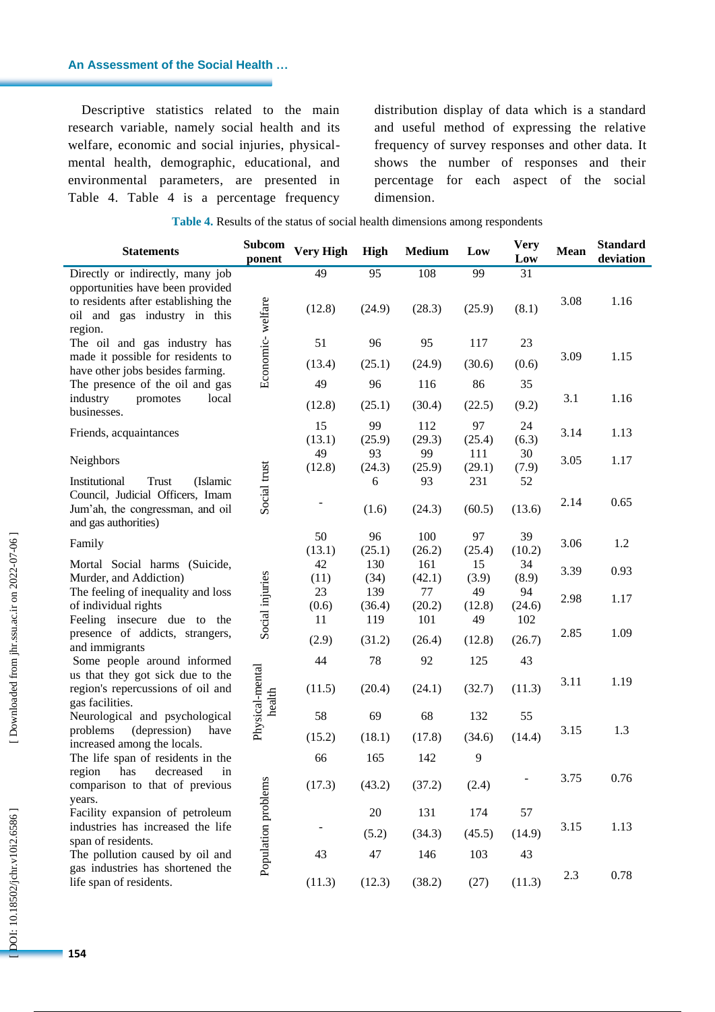#### **An Assessment of the Social Health …**

Descriptive statistics related to the main research variable, namely social health and its welfare, economic and social injuries, physical mental health, demographic, educational, and environmental parameters, are presented in Table 4. Table 4 is a percentage frequency

distribution display of data which is a standard and useful method of expressing the relative frequency of survey responses and other data. It shows the number of responses and their percentage for each aspect of the social dimension .

|  | Table 4. Results of the status of social health dimensions among respondents |  |
|--|------------------------------------------------------------------------------|--|
|  |                                                                              |  |

| <b>Statements</b>                                                                                                                           | <b>Subcom</b><br>ponent   | <b>Very High</b> | <b>High</b>   | <b>Medium</b> | Low           | <b>Very</b><br>Low | Mean | <b>Standard</b><br>deviation |
|---------------------------------------------------------------------------------------------------------------------------------------------|---------------------------|------------------|---------------|---------------|---------------|--------------------|------|------------------------------|
| Directly or indirectly, many job<br>opportunities have been provided<br>to residents after establishing the<br>oil and gas industry in this |                           | 49<br>(12.8)     | 95<br>(24.9)  | 108<br>(28.3) | 99<br>(25.9)  | 31<br>(8.1)        | 3.08 | 1.16                         |
| region.<br>The oil and gas industry has                                                                                                     | Economic-welfare          | 51               | 96            | 95            | 117           | 23                 |      |                              |
| made it possible for residents to<br>have other jobs besides farming.                                                                       |                           | (13.4)           | (25.1)        | (24.9)        | (30.6)        | (0.6)              | 3.09 | 1.15                         |
| The presence of the oil and gas<br>industry<br>promotes<br>local                                                                            |                           | 49               | 96            | 116           | 86            | 35                 | 3.1  | 1.16                         |
| businesses.                                                                                                                                 |                           | (12.8)           | (25.1)        | (30.4)        | (22.5)        | (9.2)              |      |                              |
| Friends, acquaintances                                                                                                                      |                           | 15<br>(13.1)     | 99<br>(25.9)  | 112<br>(29.3) | 97<br>(25.4)  | 24<br>(6.3)        | 3.14 | 1.13                         |
| Neighbors                                                                                                                                   |                           | 49<br>(12.8)     | 93<br>(24.3)  | 99<br>(25.9)  | 111<br>(29.1) | 30<br>(7.9)        | 3.05 | 1.17                         |
| Institutional<br>Trust<br>(Islamic<br>Council, Judicial Officers, Imam<br>Jum'ah, the congressman, and oil<br>and gas authorities)          | Social trust              |                  | 6<br>(1.6)    | 93<br>(24.3)  | 231<br>(60.5) | 52<br>(13.6)       | 2.14 | 0.65                         |
| Family                                                                                                                                      |                           | 50<br>(13.1)     | 96<br>(25.1)  | 100<br>(26.2) | 97<br>(25.4)  | 39<br>(10.2)       | 3.06 | 1.2                          |
| Mortal Social harms (Suicide,<br>Murder, and Addiction)                                                                                     |                           | 42<br>(11)       | 130<br>(34)   | 161<br>(42.1) | 15<br>(3.9)   | 34<br>(8.9)        | 3.39 | 0.93                         |
| The feeling of inequality and loss<br>of individual rights                                                                                  | Social injuries           | 23<br>(0.6)      | 139<br>(36.4) | 77<br>(20.2)  | 49<br>(12.8)  | 94<br>(24.6)       | 2.98 | 1.17                         |
| Feeling insecure due to the<br>presence of addicts, strangers,                                                                              |                           | 11<br>(2.9)      | 119<br>(31.2) | 101<br>(26.4) | 49<br>(12.8)  | 102<br>(26.7)      | 2.85 | 1.09                         |
| and immigrants<br>Some people around informed                                                                                               |                           | 44               | 78            | 92            | 125           | 43                 |      |                              |
| us that they got sick due to the<br>region's repercussions of oil and<br>gas facilities.                                                    | Physical-mental<br>health | (11.5)           | (20.4)        | (24.1)        | (32.7)        | (11.3)             | 3.11 | 1.19                         |
| Neurological and psychological                                                                                                              |                           | 58               | 69            | 68            | 132           | 55                 |      |                              |
| problems<br>(depression)<br>have<br>increased among the locals.                                                                             |                           | (15.2)           | (18.1)        | (17.8)        | (34.6)        | (14.4)             | 3.15 | 1.3                          |
| The life span of residents in the<br>has                                                                                                    |                           | 66               | 165           | 142           | 9             |                    |      |                              |
| region<br>decreased<br>in<br>comparison to that of previous<br>years.                                                                       | Population problems       | (17.3)           | (43.2)        | (37.2)        | (2.4)         |                    | 3.75 | 0.76                         |
| Facility expansion of petroleum                                                                                                             |                           |                  | $20\,$        | 131           | 174           | 57                 |      |                              |
| industries has increased the life<br>span of residents.                                                                                     |                           |                  | (5.2)         | (34.3)        | (45.5)        | (14.9)             | 3.15 | 1.13                         |
| The pollution caused by oil and                                                                                                             |                           | 43               | 47            | 146           | 103           | 43                 |      |                              |
| gas industries has shortened the<br>life span of residents.                                                                                 |                           | (11.3)           | (12.3)        | (38.2)        | (27)          | (11.3)             | 2.3  | 0.78                         |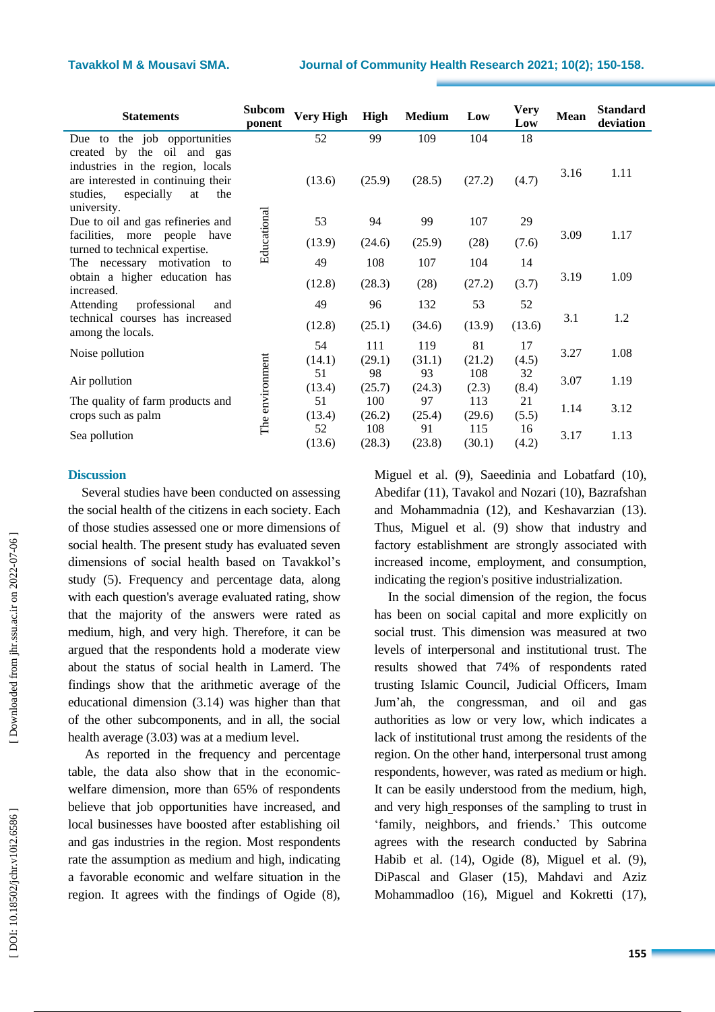| <b>Statements</b>                                                                                                                                    | <b>Subcom</b><br>ponent | <b>Very High</b> | High          | <b>Medium</b> | Low           | <b>Very</b><br>Low | <b>Mean</b> | <b>Standard</b><br>deviation |
|------------------------------------------------------------------------------------------------------------------------------------------------------|-------------------------|------------------|---------------|---------------|---------------|--------------------|-------------|------------------------------|
| the job opportunities<br>Due to                                                                                                                      |                         | 52               | 99            | 109           | 104           | 18                 |             |                              |
| the<br>oil and gas<br>created<br>by<br>industries in the region, locals<br>are interested in continuing their<br>studies,<br>especially<br>the<br>at |                         | (13.6)           | (25.9)        | (28.5)        | (27.2)        | (4.7)              | 3.16        | 1.11                         |
| university.<br>Due to oil and gas refineries and                                                                                                     |                         | 53               | 94            | 99            | 107           | 29                 |             |                              |
| facilities, more people have<br>turned to technical expertise.                                                                                       | Educational             | (13.9)           | (24.6)        | (25.9)        | (28)          | (7.6)              | 3.09        | 1.17                         |
| The necessary<br>motivation<br>to                                                                                                                    |                         | 49               | 108           | 107           | 104           | 14                 |             |                              |
| obtain a higher education has<br>increased.                                                                                                          |                         | (12.8)           | (28.3)        | (28)          | (27.2)        | (3.7)              | 3.19        | 1.09                         |
| Attending<br>professional<br>and                                                                                                                     |                         | 49               | 96            | 132           | 53            | 52                 |             |                              |
| technical courses has increased<br>among the locals.                                                                                                 |                         | (12.8)           | (25.1)        | (34.6)        | (13.9)        | (13.6)             | 3.1         | 1.2                          |
| Noise pollution                                                                                                                                      |                         | 54<br>(14.1)     | 111<br>(29.1) | 119<br>(31.1) | 81<br>(21.2)  | 17<br>(4.5)        | 3.27        | 1.08                         |
| Air pollution                                                                                                                                        |                         | 51<br>(13.4)     | 98<br>(25.7)  | 93<br>(24.3)  | 108<br>(2.3)  | 32<br>(8.4)        | 3.07        | 1.19                         |
| The quality of farm products and<br>crops such as palm                                                                                               | The environment         | 51<br>(13.4)     | 100<br>(26.2) | 97<br>(25.4)  | 113<br>(29.6) | 21<br>(5.5)        | 1.14        | 3.12                         |
| Sea pollution                                                                                                                                        |                         | 52<br>(13.6)     | 108<br>(28.3) | 91<br>(23.8)  | 115<br>(30.1) | 16<br>(4.2)        | 3.17        | 1.13                         |

#### **Discussion**

Several studies have been conducted on assessing the social health of the citizens in each society. Each of those studies assessed one or more dimensions of social health. The present study has evaluated seven dimensions of social health based on Tavakkol"s study (5). Frequency and percentage data, along with each question's average evaluated rating, show that the majority of the answers were rated as medium, high, and very high. Therefore, it can be argued that the respondents hold a moderate view about the status of social health in Lamerd. The findings show that the arithmetic average of the educational dimension (3.14) was higher than that of the other subcomponents, and in all, the social health average (3.03) was at a medium level.

As reported in the frequency and percentage table, the data also show that in the economic welfare dimension, more than 65% of respondents believe that job opportunities have increased, and local businesses have boosted after establishing oil and gas industries in the region . Most respondents rate the assumption as medium and high, indicating a favorable economic and welfare situation in the region. It agrees with the findings of Ogide ( 8),

Miguel et al. ( 9), Saeedinia and Lobatfard (10), Abedifar (11), Tavakol and Nozari (10), Bazrafshan and Mohammadnia (12), and Keshavarz ian (13). Thus, Miguel et al. ( 9) show that industry and factory establishment are strongly associated with increased income, employment, and consumption, indicating the region's positive industrialization.

In the social dimension of the region, the focus has been on social capital and more explicitly on social trust. This dimension was measured at two levels of interpersonal and institutional trust. The results showed that 74% of respondents rated trusting Islamic Council, Judicial Officers, Imam Jum'ah, the congressman, and oil and gas authorities as low or very low, which indicates a lack of institutional trust among the residents of the region. On the other hand, interpersonal trust among respondents, however, was rated as medium or high. It can be easily understood from the medium, high, and very high responses of the sampling to trust in "family, neighbors, and friends." This outcome agrees with the research conducted by Sabrina Habib et al. (14), Ogide (8), Miguel et al. (9), DiPascal and Glaser ( 1 5), Mahdavi and Aziz Mohammadloo (16), Miguel and Kokretti (17),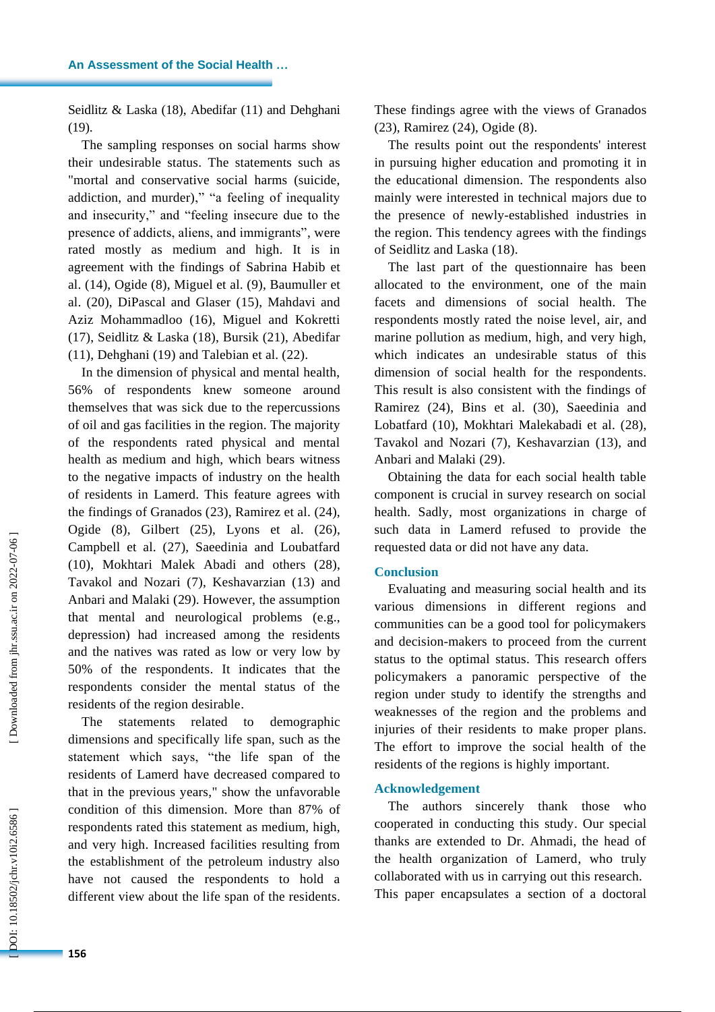Seidlitz & Laska (18), Abedifar (11) and Dehghani  $(19)$ .

The sampling responses on social harms show their undesirable status. The statements such as "mortal and conservative social harms (suicide, addiction, and murder)," "a feeling of inequality and insecurity," and "feeling insecure due to the presence of addicts, aliens, and immigrants", were rated mostly as medium and high. It is in agreement with the findings of Sabrina Habib et al. ( 1 4), Ogide ( 8), Miguel et al. ( 9), Baumuller et al. (20 ) , DiPascal and Glaser ( 1 5), Mahdavi and Aziz Mohammadloo ( 1 6), Miguel and Kokretti ( 1 7), Seidlitz & Laska ( 1 8), Bursik ( 2 1), Abedifar (11), Dehghani (19) and Talebian et al. (22).

In the dimension of physical and mental health, 56% of respondents knew someone around themselves that was sick due to the repercussions of oil and gas facilities in the region. The majority of the respondents rated physical and mental health as medium and high, which bears witness to the negative impacts of industr y on the health of residents in Lamerd. This feature agrees with the findings of Granados ( 2 3), Ramirez et al. ( 2 4), Ogide (8), Gilbert (25), Lyons et al. (26), Campbell et al. ( 2 7), Saeedinia and Loubatfard (10), Mokhtari Malek Abadi and others ( 2 8), Tavakol and Nozari ( 7), Keshavarzian ( 1 3) and Anbari and Malaki ( 2 9). However, the assumption that mental and neurological problems (e.g., depression) had increased among the residents and the natives was rated as low or very low by 50% of the respondents . It indicates that the respondents consider the mental status of the residents of the region desirable.

The statements related to demographic dimensions and specifically life span, such as the statement which says, "the life span of the residents of Lamerd have decreased compared to that in the previous years," show the unfavorable condition of this dimension. More than 87% of respondents rated this statement as medium, high, and very high. Increased facilities resulting from the establishment of the petroleum industry also have not caused the respondents to hold a different view about the life span of the residents .

These findings agree with the views of Granados (23), Ramirez (24), Ogide (8).

The results point out the respondents' interest in pursuing higher education and promoting it in the educational dimension. The respondents also mainly were interested in technical majors due to the presence of newly -established industries in the region. This tendency agrees with the findings of Seidlitz and Laska (18).

The last part of the questionnaire has been allocated to the environment , one of the main facets and dimensions of social health . The respondents mostly rated the noise level , air, and marine pollution as medium, high, and very high, which indicates an undesirable status of this dimension of social health for the respondents. This result is also consistent with the findings of Ramirez ( 2 4), Bin s et al. (30), Saeedinia and Lobatfard (10), Mokhtari Malekabadi et al. ( 2 8), Tavakol and Nozari ( 7), Keshavarzian ( 1 3), and Anbari and Malaki ( 2 9).

Obtaining the data for each social health table component is crucial in survey research on social health. Sadly, most organizations in charge of such data in Lamerd refused to provide the requested data or did not have any data .

## **Conclusion**

Evaluating and measuring social health and its various dimensions in different regions and communities can be a good tool for policymakers and decision -makers to proceed from the current status to the optimal status . This research offers policymakers a panoramic perspective of the region under study to identify the strengths and weaknesses of the region and the problems and injuries of their residents to make proper plans. The effort to improve the social health of the residents of the regions is highly importan t .

#### **Acknowledgement**

The authors sincerely thank those who cooperated in conducting this study. Our special thanks are extended to Dr. Ahmadi, the head of the health organization of Lamerd, who truly collaborated with us in carrying out this research. This paper encapsulates a section of a doctoral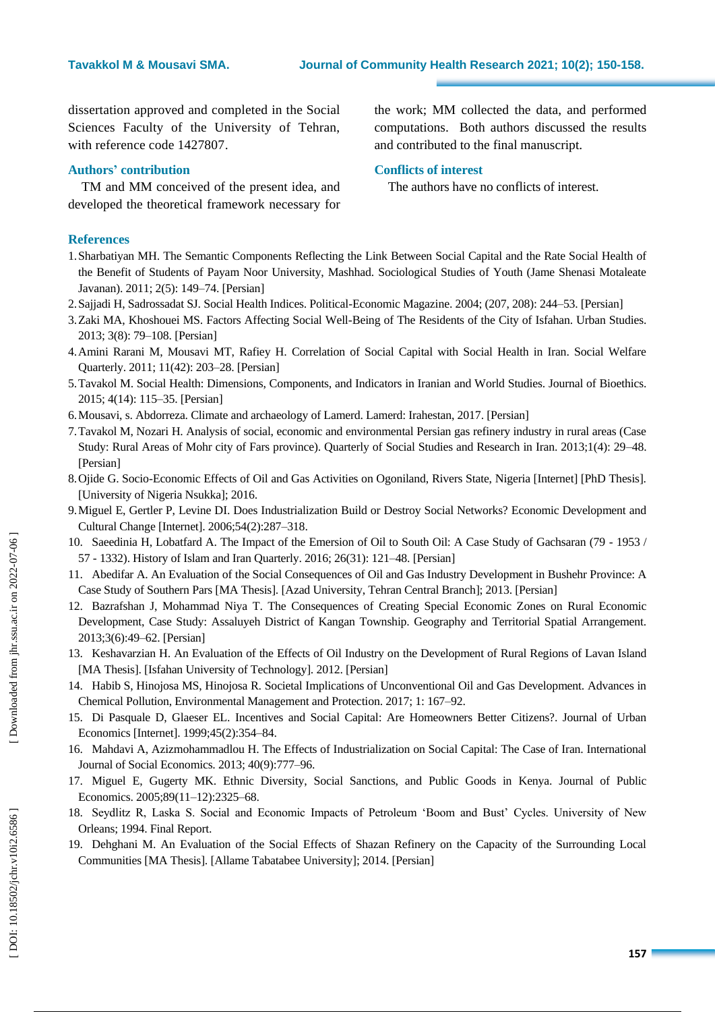dissertation approved and completed in the Social Sciences Faculty of the University of Tehran, with reference code 1427807 .

## **Authors ' contribution**

TM and MM conceived of the present idea, and developed the theoretical framework necessary for the work; MM collected the data, and performed computations. Both authors discussed the results and contributed to the final manuscript.

## **Conflicts of interest**

The authors have no conflict s of interest.

## **References**

- 1.Sharbatiyan MH. The Semantic Components Reflecting the Link Between Social Capital and the Rate Social Health of the Benefit of Students of Payam Noor University, Mashhad. Sociological Studies of Youth (Jame Shenasi Motaleate Javanan). 2011; 2(5): 149 –74. [Persian]
- 2.Sajjadi H, Sadrossadat SJ. Social Health Indices. Political -Economic Magazine. 2004; (207, 208): 244 –53. [Persian]
- 3.Zaki MA, Khoshouei MS. Factors Affecting Social Well -Being of The Residents of the City of Isfahan. Urban Studies. 2013; 3(8): 79 –108. [Persian]
- 4.Amini Rarani M, Mousavi MT, Rafiey H. Correlation of Social Capital with Social Health in Iran. Social Welfare Quarterly. 2011; 11(42): 203 –28. [Persian]
- 5.Tavakol M. Social Health: Dimensions, Components, and Indicators in Iranian and World Studies. Journal of Bioethics. 2015; 4(14): 115 –35. [Persian]
- 6.Mousavi, s. Abdorreza. Climate and archaeology of Lamerd. Lamerd: Irahestan, 2017. [Persian]
- 7.Tavakol M, Nozari H. Analysis of social, economic and environmental Persian gas refinery industry in rural areas (Case Study: Rural Areas of Mohr city of Fars province). Quarterly of Social Studies and Research in Iran. 2013;1(4): 29 –48. [Persian]
- 8.Ojide G. Socio -Economic Effects of Oil and Gas Activities on Ogoniland, Rivers State, Nigeria [Internet] [PhD Thesis]. [University of Nigeria Nsukka]; 2016.
- 9.Miguel E, Gertler P, Levine DI. Does Industrialization Build or Destroy Social Networks? Economic Development and Cultural Change [Internet]. 2006;54(2):287 –318.
- 10. Saeedinia H, Lobatfard A. The Impact of the Emersion of Oil to South Oil: A Case Study of Gachsaran (79 1953 / 57 - 1332). History of Islam and Iran Quarterly. 2016; 26(31): 121 –48. [Persian]
- 11. Abedifar A. An Evaluation of the Social Consequences of Oil and Gas Industry Development in Bushehr Province: A Case Study of Southern Pars [MA Thesis]. [Azad University, Tehran Central Branch]; 2013. [Persian]
- 12. Bazrafshan J, Mohammad Niya T. The Consequences of Creating Special Economic Zones on Rural Economic Development, Case Study: Assaluyeh District of Kangan Township. Geography and Territorial Spatial Arrangement. 2013;3(6):49 –62. [Persian]
- 13. Keshavarzian H. An Evaluation of the Effects of Oil Industry on the Development of Rural Regions of Lavan Island [MA Thesis]. [Isfahan University of Technology]. 2012. [Persian]
- 14. Habib S, Hinojosa MS, Hinojosa R. Societal Implications of Unconventional Oil and Gas Development. Advances in Chemical Pollution, Environmental Management and Protection. 2017; 1: 167 –92.
- 15. Di Pasquale D, Glaeser EL. Incentives and Social Capital: Are Homeowners Better Citizens?. Journal of Urban Economics [Internet]. 1999;45(2):354 –84.
- 16. Mahdavi A, Azizmohammadlou H. The Effects of Industrialization on Social Capital: The Case of Iran. International Journal of Social Economics. 2013; 40(9):777 –96.
- 17. Miguel E, Gugerty MK. Ethnic Diversity, Social Sanctions, and Public Goods in Kenya. Journal of Public Economics. 2005;89(11-12):2325-68.
- 18. Seydlitz R, Laska S. Social and Economic Impacts of Petroleum "Boom and Bust" Cycles. University of New Orleans; 1994. Final Report.
- 19. Dehghani M. An Evaluation of the Social Effects of Shazan Refinery on the Capacity of the Surrounding Local Communities [MA Thesis]. [Allame Tabatabee University]; 2014. [Persian]